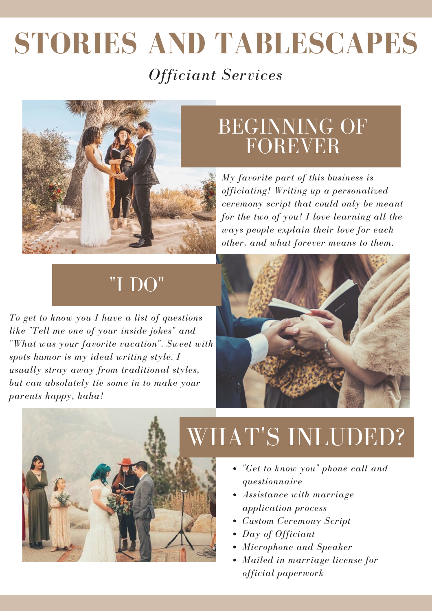# **STORIES AND TABLESCAPES** *Officiant Services*



## BEGINNING OF FOREVER

*My favorite part of this business is officiating! Writing up a personalized ceremony script that could only be meant for the two of you! I love learning all the ways people explain their love for each other, and what forever means to them.*

## "I DO"

*To get to know you I have a list of questions like "Tell me one of your inside jokes" and "What was your favorite vacation". Sweet with spots humor is my ideal writing style. I usually stray away from traditional styles, but can absolutely tie some in to make your parents happy, haha!*





# WHAT'S INLUDED?

- *"Get to know you" phone call and questionnaire*
- *Assistance with marriage application process*
- *Custom Ceremony Script*
- *Day of Officiant*
- *Microphone and Speaker*
- *Mailed in marriage license for official paperwork*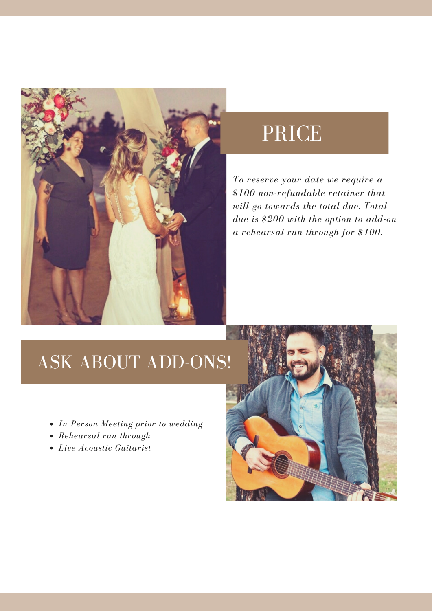

## PRICE

*To reserve your date we require a \$100 non-refundable retainer that will go towards the total due. Total due is \$200 with the option to add-on a rehearsal run through for \$100.*

### ASK ABOUT ADD-ONS!

- *In-Person Meeting prior to wedding*
- *Rehearsal run through*
- *Live Acoustic Guitarist*